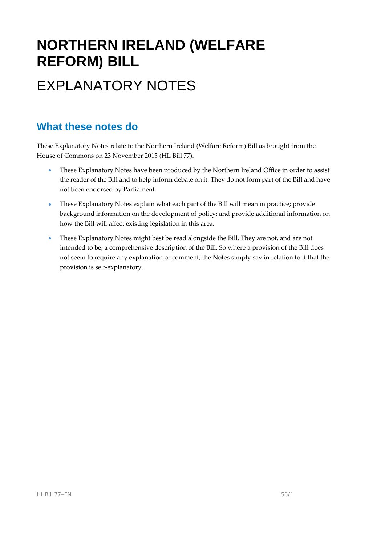# **NORTHERN IRELAND (WELFARE REFORM) BILL**  EXPLANATORY NOTES

#### **What these notes do**

- These Explanatory Notes have been produced by the Northern Ireland Office in order to assist the reader of the Bill and to help inform debate on it. They do not form part of the Bill and have not been endorsed by Parliament.
- These Explanatory Notes explain what each part of the Bill will mean in practice; provide background information on the development of policy; and provide additional information on how the Bill will affect existing legislation in this area.
- These Explanatory Notes might best be read alongside the Bill. They are not, and are not intended to be, a comprehensive description of the Bill. So where a provision of the Bill does not seem to require any explanation or comment, the Notes simply say in relation to it that the provision is self‐explanatory.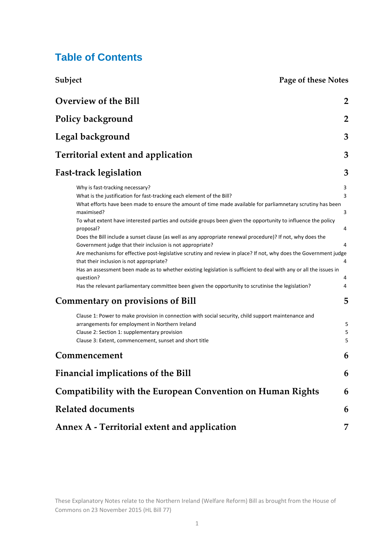#### **Table of Contents**

**Subject Page of these Notes**

| Overview of the Bill                                                                                                                                                                                                                                                                                                                                                                                                                                                                                                                                                                                                                                                                                                                                                                                                                                                                                                                                                                               | $\overline{2}$                            |  |  |  |  |  |
|----------------------------------------------------------------------------------------------------------------------------------------------------------------------------------------------------------------------------------------------------------------------------------------------------------------------------------------------------------------------------------------------------------------------------------------------------------------------------------------------------------------------------------------------------------------------------------------------------------------------------------------------------------------------------------------------------------------------------------------------------------------------------------------------------------------------------------------------------------------------------------------------------------------------------------------------------------------------------------------------------|-------------------------------------------|--|--|--|--|--|
| Policy background                                                                                                                                                                                                                                                                                                                                                                                                                                                                                                                                                                                                                                                                                                                                                                                                                                                                                                                                                                                  | $\overline{2}$                            |  |  |  |  |  |
| Legal background                                                                                                                                                                                                                                                                                                                                                                                                                                                                                                                                                                                                                                                                                                                                                                                                                                                                                                                                                                                   |                                           |  |  |  |  |  |
| <b>Territorial extent and application</b>                                                                                                                                                                                                                                                                                                                                                                                                                                                                                                                                                                                                                                                                                                                                                                                                                                                                                                                                                          | 3                                         |  |  |  |  |  |
| <b>Fast-track legislation</b>                                                                                                                                                                                                                                                                                                                                                                                                                                                                                                                                                                                                                                                                                                                                                                                                                                                                                                                                                                      | 3                                         |  |  |  |  |  |
| Why is fast-tracking necessary?<br>What is the justification for fast-tracking each element of the Bill?<br>What efforts have been made to ensure the amount of time made available for parliamnetary scrutiny has been<br>maximised?<br>To what extent have interested parties and outside groups been given the opportunity to influence the policy<br>proposal?<br>Does the Bill include a sunset clause (as well as any appropriate renewal procedure)? If not, why does the<br>Government judge that their inclusion is not appropriate?<br>Are mechanisms for effective post-legislative scrutiny and review in place? If not, why does the Government judge<br>that their inclusion is not appropriate?<br>Has an assessment been made as to whether existing legislation is sufficient to deal with any or all the issues in<br>question?<br>Has the relevant parliamentary committee been given the opportunity to scrutinise the legislation?<br><b>Commentary on provisions of Bill</b> | 3<br>3<br>3<br>4<br>4<br>4<br>4<br>4<br>5 |  |  |  |  |  |
| Clause 1: Power to make provision in connection with social security, child support maintenance and<br>arrangements for employment in Northern Ireland<br>Clause 2: Section 1: supplementary provision<br>Clause 3: Extent, commencement, sunset and short title                                                                                                                                                                                                                                                                                                                                                                                                                                                                                                                                                                                                                                                                                                                                   | 5<br>5<br>5                               |  |  |  |  |  |
| Commencement                                                                                                                                                                                                                                                                                                                                                                                                                                                                                                                                                                                                                                                                                                                                                                                                                                                                                                                                                                                       | 6                                         |  |  |  |  |  |
| <b>Financial implications of the Bill</b>                                                                                                                                                                                                                                                                                                                                                                                                                                                                                                                                                                                                                                                                                                                                                                                                                                                                                                                                                          | 6                                         |  |  |  |  |  |
| <b>Compatibility with the European Convention on Human Rights</b>                                                                                                                                                                                                                                                                                                                                                                                                                                                                                                                                                                                                                                                                                                                                                                                                                                                                                                                                  | 6                                         |  |  |  |  |  |
| <b>Related documents</b>                                                                                                                                                                                                                                                                                                                                                                                                                                                                                                                                                                                                                                                                                                                                                                                                                                                                                                                                                                           | 6                                         |  |  |  |  |  |
| Annex A - Territorial extent and application                                                                                                                                                                                                                                                                                                                                                                                                                                                                                                                                                                                                                                                                                                                                                                                                                                                                                                                                                       | 7                                         |  |  |  |  |  |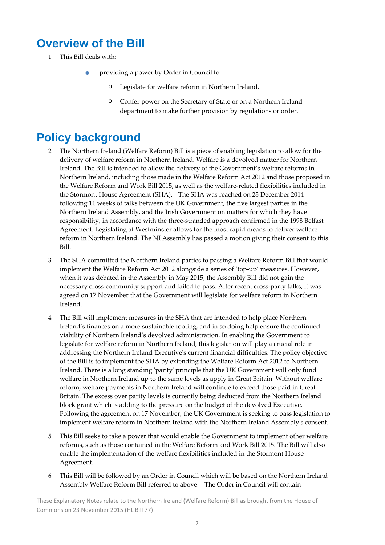### **Overview of the Bill**

- 1 This Bill deals with:
	- providing <sup>a</sup> power by Order in Council to:
		- o Legislate for welfare reform in Northern Ireland.
		- o Confer power on the Secretary of State or on a Northern Ireland department to make further provision by regulations or order.

### **Policy background**

- 2 The Northern Ireland (Welfare Reform) Bill is a piece of enabling legislation to allow for the delivery of welfare reform in Northern Ireland. Welfare is a devolved matter for Northern Ireland. The Bill is intended to allow the delivery of the Government's welfare reforms in Northern Ireland, including those made in the Welfare Reform Act 2012 and those proposed in the Welfare Reform and Work Bill 2015, as well as the welfare‐related flexibilities included in the Stormont House Agreement (SHA). The SHA was reached on 23 December 2014 following 11 weeks of talks between the UK Government, the five largest parties in the Northern Ireland Assembly, and the Irish Government on matters for which they have responsibility, in accordance with the three‐stranded approach confirmed in the 1998 Belfast Agreement. Legislating at Westminster allows for the most rapid means to deliver welfare reform in Northern Ireland. The NI Assembly has passed a motion giving their consent to this Bill.
- 3 The SHA committed the Northern Ireland parties to passing a Welfare Reform Bill that would implement the Welfare Reform Act 2012 alongside a series of 'top-up' measures. However, when it was debated in the Assembly in May 2015, the Assembly Bill did not gain the necessary cross‐community support and failed to pass. After recent cross‐party talks, it was agreed on 17 November that the Government will legislate for welfare reform in Northern Ireland.
- 4 The Bill will implement measures in the SHA that are intended to help place Northern Ireland's finances on a more sustainable footing, and in so doing help ensure the continued viability of Northern Ireland's devolved administration. In enabling the Government to legislate for welfare reform in Northern Ireland, this legislation will play a crucial role in addressing the Northern Ireland Executiveʹs current financial difficulties. The policy objective of the Bill is to implement the SHA by extending the Welfare Reform Act 2012 to Northern Ireland. There is a long standing 'parity' principle that the UK Government will only fund welfare in Northern Ireland up to the same levels as apply in Great Britain. Without welfare reform, welfare payments in Northern Ireland will continue to exceed those paid in Great Britain. The excess over parity levels is currently being deducted from the Northern Ireland block grant which is adding to the pressure on the budget of the devolved Executive. Following the agreement on 17 November, the UK Government is seeking to pass legislation to implement welfare reform in Northern Ireland with the Northern Ireland Assemblyʹs consent.
- 5 This Bill seeks to take a power that would enable the Government to implement other welfare reforms, such as those contained in the Welfare Reform and Work Bill 2015. The Bill will also enable the implementation of the welfare flexibilities included in the Stormont House Agreement.
- 6 This Bill will be followed by an Order in Council which will be based on the Northern Ireland Assembly Welfare Reform Bill referred to above. The Order in Council will contain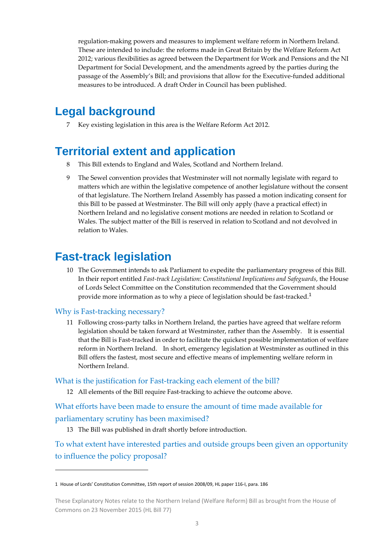regulation‐making powers and measures to implement welfare reform in Northern Ireland. These are intended to include: the reforms made in Great Britain by the Welfare Reform Act 2012; various flexibilities as agreed between the Department for Work and Pensions and the NI Department for Social Development, and the amendments agreed by the parties during the passage of the Assembly's Bill; and provisions that allow for the Executive-funded additional measures to be introduced. A draft Order in Council has been published.

### **Legal background**

7 Key existing legislation in this area is the Welfare Reform Act 2012.

#### **Territorial extent and application**

- 8 This Bill extends to England and Wales, Scotland and Northern Ireland.
- 9 The Sewel convention provides that Westminster will not normally legislate with regard to matters which are within the legislative competence of another legislature without the consent of that legislature. The Northern Ireland Assembly has passed a motion indicating consent for this Bill to be passed at Westminster. The Bill will only apply (have a practical effect) in Northern Ireland and no legislative consent motions are needed in relation to Scotland or Wales. The subject matter of the Bill is reserved in relation to Scotland and not devolved in relation to Wales.

### **Fast-track legislation**

10 The Government intends to ask Parliament to expedite the parliamentary progress of this Bill. In their report entitled *Fast‐track Legislation: Constitutional Implications and Safeguards*, the House of Lords Select Committee on the Constitution recommended that the Government should provide more information as to why a piece of legislation should be fast-tracked.<sup>1</sup>

#### Why is Fast-tracking necessary?

11 Following cross‐party talks in Northern Ireland, the parties have agreed that welfare reform legislation should be taken forward at Westminster, rather than the Assembly. It is essential that the Bill is Fast‐tracked in order to facilitate the quickest possible implementation of welfare reform in Northern Ireland. In short, emergency legislation at Westminster as outlined in this Bill offers the fastest, most secure and effective means of implementing welfare reform in Northern Ireland.

#### What is the justification for Fast-tracking each element of the bill?

12 All elements of the Bill require Fast-tracking to achieve the outcome above.

What efforts have been made to ensure the amount of time made available for parliamentary scrutiny has been maximised?

13 The Bill was published in draft shortly before introduction.

To what extent have interested parties and outside groups been given an opportunity to influence the policy proposal?

<sup>1</sup> House of Lords' Constitution Committee, 15th report of session 2008/09, HL paper 116‐I, para. 186

These Explanatory Notes relate to the Northern Ireland (Welfare Reform) Bill as brought from the House of Commons on 23 November 2015 (HL Bill 77)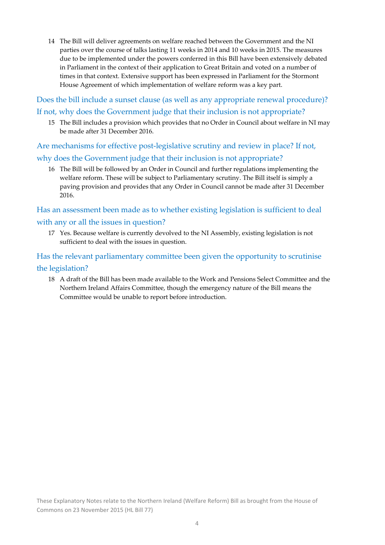14 The Bill will deliver agreements on welfare reached between the Government and the NI parties over the course of talks lasting 11 weeks in 2014 and 10 weeks in 2015. The measures due to be implemented under the powers conferred in this Bill have been extensively debated in Parliament in the context of their application to Great Britain and voted on a number of times in that context. Extensive support has been expressed in Parliament for the Stormont House Agreement of which implementation of welfare reform was a key part.

Does the bill include a sunset clause (as well as any appropriate renewal procedure)? If not, why does the Government judge that their inclusion is not appropriate?

15 The Bill includes a provision which provides that no Order in Council about welfare in NI may be made after 31 December 2016.

Are mechanisms for effective post-legislative scrutiny and review in place? If not, why does the Government judge that their inclusion is not appropriate?

16 The Bill will be followed by an Order in Council and further regulations implementing the welfare reform. These will be subject to Parliamentary scrutiny. The Bill itself is simply a paving provision and provides that any Order in Council cannot be made after 31 December 2016.

Has an assessment been made as to whether existing legislation is sufficient to deal with any or all the issues in question?

17 Yes. Because welfare is currently devolved to the NI Assembly, existing legislation is not sufficient to deal with the issues in question.

Has the relevant parliamentary committee been given the opportunity to scrutinise the legislation?

18 A draft of the Bill has been made available to the Work and Pensions Select Committee and the Northern Ireland Affairs Committee, though the emergency nature of the Bill means the Committee would be unable to report before introduction.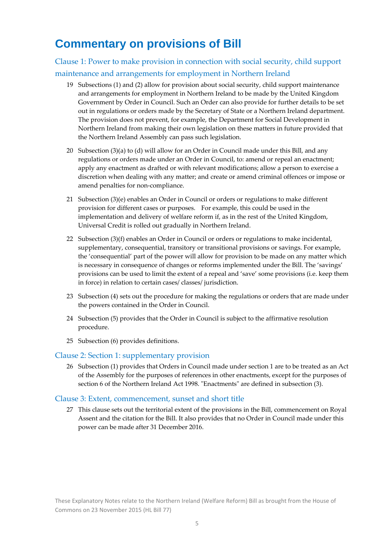### **Commentary on provisions of Bill**

#### Clause 1: Power to make provision in connection with social security, child support maintenance and arrangements for employment in Northern Ireland

- 19 Subsections (1) and (2) allow for provision about social security, child support maintenance and arrangements for employment in Northern Ireland to be made by the United Kingdom Government by Order in Council. Such an Order can also provide for further details to be set out in regulations or orders made by the Secretary of State or a Northern Ireland department. The provision does not prevent, for example, the Department for Social Development in Northern Ireland from making their own legislation on these matters in future provided that the Northern Ireland Assembly can pass such legislation.
- 20 Subsection (3)(a) to (d) will allow for an Order in Council made under this Bill, and any regulations or orders made under an Order in Council, to: amend or repeal an enactment; apply any enactment as drafted or with relevant modifications; allow a person to exercise a discretion when dealing with any matter; and create or amend criminal offences or impose or amend penalties for non‐compliance.
- 21 Subsection (3)(e) enables an Order in Council or orders or regulations to make different provision for different cases or purposes. For example, this could be used in the implementation and delivery of welfare reform if, as in the rest of the United Kingdom, Universal Credit is rolled out gradually in Northern Ireland.
- 22 Subsection  $(3)(f)$  enables an Order in Council or orders or regulations to make incidental, supplementary, consequential, transitory or transitional provisions or savings. For example, the 'consequential' part of the power will allow for provision to be made on any matter which is necessary in consequence of changes or reforms implemented under the Bill. The 'savings' provisions can be used to limit the extent of a repeal and 'save' some provisions (i.e. keep them in force) in relation to certain cases/ classes/ jurisdiction.
- 23 Subsection (4) sets out the procedure for making the regulations or orders that are made under the powers contained in the Order in Council.
- 24 Subsection (5) provides that the Order in Council is subject to the affirmative resolution procedure.
- 25 Subsection (6) provides definitions.

#### Clause 2: Section 1: supplementary provision

26 Subsection (1) provides that Orders in Council made under section 1 are to be treated as an Act of the Assembly for the purposes of references in other enactments, except for the purposes of section 6 of the Northern Ireland Act 1998. "Enactments" are defined in subsection (3).

#### Clause 3: Extent, commencement, sunset and short title

27 This clause sets out the territorial extent of the provisions in the Bill, commencement on Royal Assent and the citation for the Bill. It also provides that no Order in Council made under this power can be made after 31 December 2016.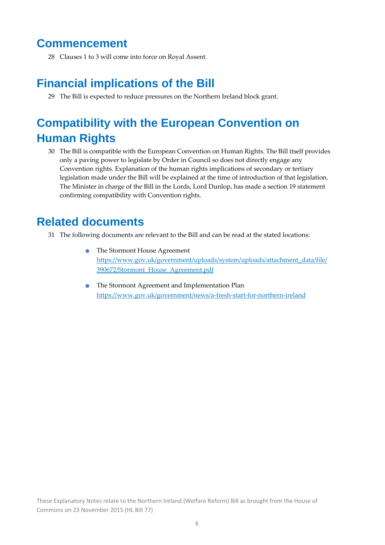#### **Commencement**

28 Clauses 1 to 3 will come into force on Royal Assent.

### **Financial implications of the Bill**

29 The Bill is expected to reduce pressures on the Northern Ireland block grant.

## **Compatibility with the European Convention on Human Rights**

30 The Bill is compatible with the European Convention on Human Rights. The Bill itself provides only a paving power to legislate by Order in Council so does not directly engage any Convention rights. Explanation of the human rights implications of secondary or tertiary legislation made under the Bill will be explained at the time of introduction of that legislation. The Minister in charge of the Bill in the Lords, Lord Dunlop, has made a section 19 statement confirming compatibility with Convention rights.

#### **Related documents**

- 31 The following documents are relevant to the Bill and can be read at the stated locations:
	- The Stormont House Agreement https://www.gov.uk/government/uploads/system/uploads/attachment\_data/file/ 390672/Stormont\_House\_Agreement.pdf
	- The Stormont Agreement and Implementation Plan https://www.gov.uk/government/news/a‐fresh‐start‐for‐northern‐ireland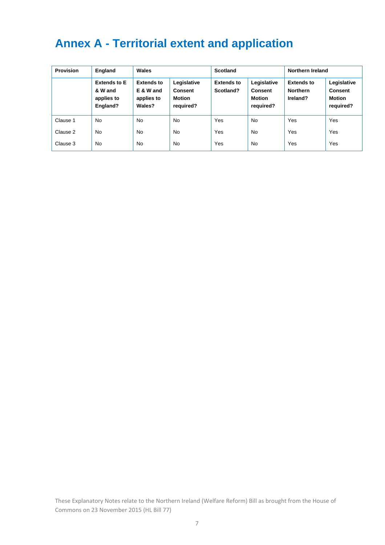## **Annex A - Territorial extent and application**

| <b>Provision</b> | England                                                  | Wales                                                  |                                                             | Scotland                       |                                                             | Northern Ireland                                 |                                                             |
|------------------|----------------------------------------------------------|--------------------------------------------------------|-------------------------------------------------------------|--------------------------------|-------------------------------------------------------------|--------------------------------------------------|-------------------------------------------------------------|
|                  | <b>Extends to E</b><br>& W and<br>applies to<br>England? | <b>Extends to</b><br>E & W and<br>applies to<br>Wales? | Legislative<br><b>Consent</b><br><b>Motion</b><br>required? | <b>Extends to</b><br>Scotland? | Legislative<br><b>Consent</b><br><b>Motion</b><br>required? | <b>Extends to</b><br><b>Northern</b><br>Ireland? | Legislative<br><b>Consent</b><br><b>Motion</b><br>required? |
| Clause 1         | <b>No</b>                                                | <b>No</b>                                              | <b>No</b>                                                   | Yes                            | <b>No</b>                                                   | Yes                                              | Yes                                                         |
| Clause 2         | <b>No</b>                                                | <b>No</b>                                              | <b>No</b>                                                   | Yes                            | <b>No</b>                                                   | Yes                                              | Yes                                                         |
| Clause 3         | <b>No</b>                                                | <b>No</b>                                              | <b>No</b>                                                   | Yes                            | No                                                          | Yes                                              | Yes                                                         |